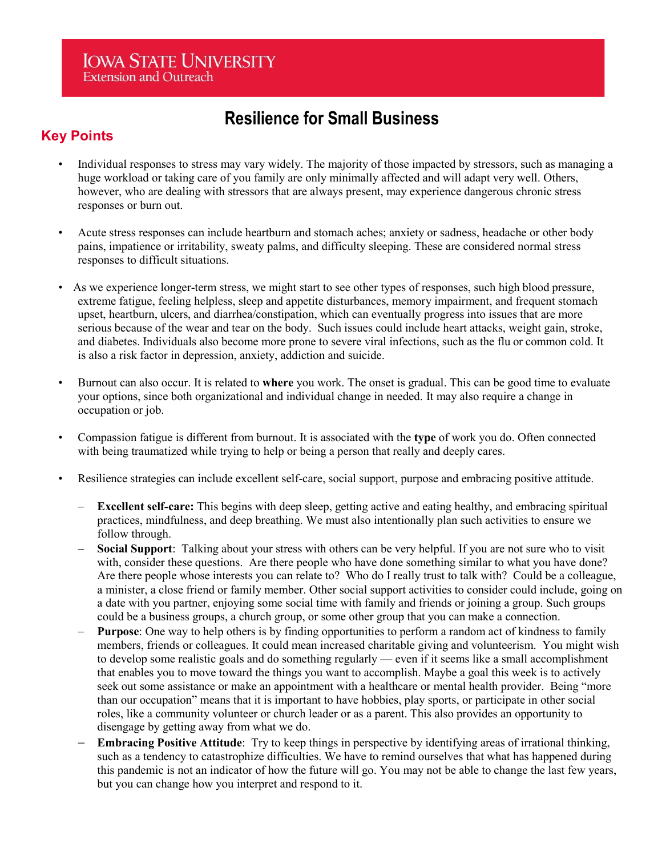# **Resilience for Small Business**

# **Key Points**

- Individual responses to stress may vary widely. The majority of those impacted by stressors, such as managing a huge workload or taking care of you family are only minimally affected and will adapt very well. Others, however, who are dealing with stressors that are always present, may experience dangerous chronic stress responses or burn out.
- Acute stress responses can include heartburn and stomach aches; anxiety or sadness, headache or other body pains, impatience or irritability, sweaty palms, and difficulty sleeping. These are considered normal stress responses to difficult situations.
- As we experience longer-term stress, we might start to see other types of responses, such high blood pressure, extreme fatigue, feeling helpless, sleep and appetite disturbances, memory impairment, and frequent stomach upset, heartburn, ulcers, and diarrhea/constipation, which can eventually progress into issues that are more serious because of the wear and tear on the body. Such issues could include heart attacks, weight gain, stroke, and diabetes. Individuals also become more prone to severe viral infections, such as the flu or common cold. It is also a risk factor in depression, anxiety, addiction and suicide.
- Burnout can also occur. It is related to **where** you work. The onset is gradual. This can be good time to evaluate your options, since both organizational and individual change in needed. It may also require a change in occupation or job.
- Compassion fatigue is different from burnout. It is associated with the **type** of work you do. Often connected with being traumatized while trying to help or being a person that really and deeply cares.
- Resilience strategies can include excellent self-care, social support, purpose and embracing positive attitude.
	- **Excellent self-care:** This begins with deep sleep, getting active and eating healthy, and embracing spiritual practices, mindfulness, and deep breathing. We must also intentionally plan such activities to ensure we follow through.
	- **Social Support:** Talking about your stress with others can be very helpful. If you are not sure who to visit with, consider these questions. Are there people who have done something similar to what you have done? Are there people whose interests you can relate to? Who do I really trust to talk with? Could be a colleague, a minister, a close friend or family member. Other social support activities to consider could include, going on a date with you partner, enjoying some social time with family and friends or joining a group. Such groups could be a business groups, a church group, or some other group that you can make a connection.
	- **Purpose:** One way to help others is by finding opportunities to perform a random act of kindness to family members, friends or colleagues. It could mean increased charitable giving and volunteerism. You might wish to develop some realistic goals and do something regularly — even if it seems like a small accomplishment that enables you to move toward the things you want to accomplish. Maybe a goal this week is to actively seek out some assistance or make an appointment with a healthcare or mental health provider. Being "more than our occupation" means that it is important to have hobbies, play sports, or participate in other social roles, like a community volunteer or church leader or as a parent. This also provides an opportunity to disengage by getting away from what we do.
	- **Embracing Positive Attitude**: Try to keep things in perspective by identifying areas of irrational thinking, such as a tendency to catastrophize difficulties. We have to remind ourselves that what has happened during this pandemic is not an indicator of how the future will go. You may not be able to change the last few years, but you can change how you interpret and respond to it.